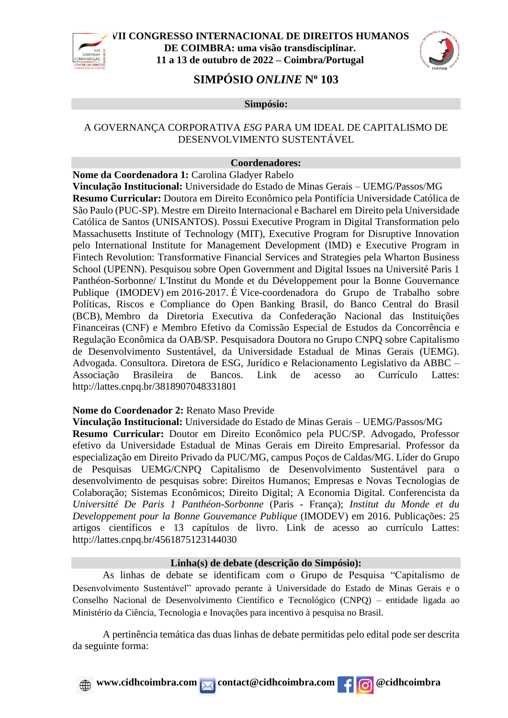



# **SIMPÓSIO** *ONLINE* **N<sup>o</sup> 103**

**Simpósio:**

### A GOVERNANÇA CORPORATIVA *ESG* PARA UM IDEAL DE CAPITALISMO DE DESENVOLVIMENTO SUSTENTÁVEL

#### **Coordenadores:**

**Nome da Coordenadora 1:** Carolina Gladyer Rabelo

**Vinculação Institucional:** Universidade do Estado de Minas Gerais – UEMG/Passos/MG **Resumo Curricular:** Doutora em Direito Econômico pela Pontifícia Universidade Católica de São Paulo (PUC-SP). Mestre em Direito Internacional e Bacharel em Direito pela Universidade Católica de Santos (UNISANTOS). Possui Executive Program in Digital Transformation pelo Massachusetts Institute of Technology (MIT), Executive Program for Disruptive Innovation pelo International Institute for Management Development (IMD) e Executive Program in Fintech Revolution: Transformative Financial Services and Strategies pela Wharton Business School (UPENN). Pesquisou sobre Open Government and Digital Issues na Université Paris 1 Panthéon-Sorbonne/ L'Institut du Monde et du Développement pour la Bonne Gouvernance Publique (IMODEV) em 2016-2017. É Vice-coordenadora do Grupo de Trabalho sobre Políticas, Riscos e Compliance do Open Banking Brasil, do Banco Central do Brasil (BCB), Membro da Diretoria Executiva da Confederação Nacional das Instituições Financeiras (CNF) e Membro Efetivo da Comissão Especial de Estudos da Concorrência e Regulação Econômica da OAB/SP. Pesquisadora Doutora no Grupo CNPQ sobre Capitalismo de Desenvolvimento Sustentável, da Universidade Estadual de Minas Gerais (UEMG). Advogada. Consultora. Diretora de ESG, Jurídico e Relacionamento Legislativo da ABBC – Associação Brasileira de Bancos. Link de acesso ao Currículo Lattes: <http://lattes.cnpq.br/3818907048331801>

#### **Nome do Coordenador 2:** Renato Maso Previde

**Vinculação Institucional:** Universidade do Estado de Minas Gerais – UEMG/Passos/MG **Resumo Curricular:** Doutor em Direito Econômico pela PUC/SP. Advogado, Professor efetivo da Universidade Estadual de Minas Gerais em Direito Empresarial. Professor da especialização em Direito Privado da PUC/MG, campus Poços de Caldas/MG. Líder do Grupo de Pesquisas UEMG/CNPQ Capitalismo de Desenvolvimento Sustentável para o desenvolvimento de pesquisas sobre: Direitos Humanos; Empresas e Novas Tecnologias de Colaboração; Sistemas Econômicos; Direito Digital; A Economia Digital. Conferencista da *Universitté De Paris 1 Panthéon-Sorbonne* (Paris - França); *Institut du Monde et du Developpement pour la Bonne Gouvemance Publique* (IMODEV) em 2016. Publicações: 25 artigos científicos e 13 capítulos de livro. Link de acesso ao currículo Lattes: <http://lattes.cnpq.br/4561875123144030>

### **Linha(s) de debate (descrição do Simpósio):**

As linhas de debate se identificam com o Grupo de Pesquisa "Capitalismo de Desenvolvimento Sustentável" aprovado perante à Universidade do Estado de Minas Gerais e o Conselho Nacional de Desenvolvimento Científico e Tecnológico (CNPQ) – entidade ligada ao Ministério da Ciência, Tecnologia e Inovações para incentivo à pesquisa no Brasil.

A pertinência temática das duas linhas de debate permitidas pelo edital pode ser descrita da seguinte forma: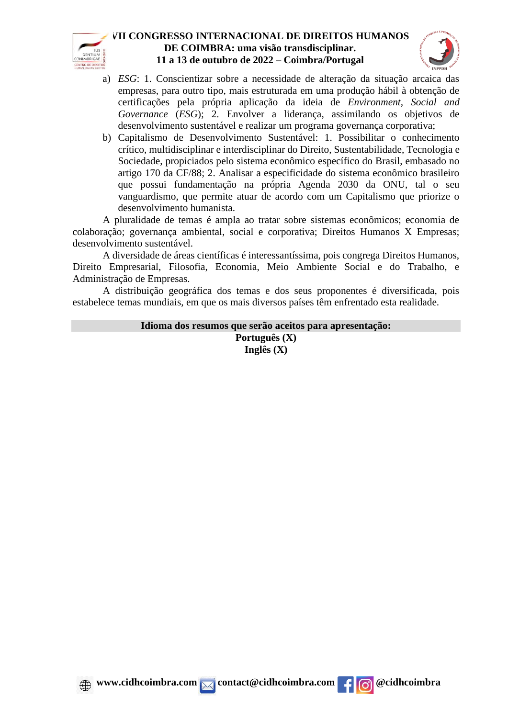



- a) *ESG*: 1. Conscientizar sobre a necessidade de alteração da situação arcaica das empresas, para outro tipo, mais estruturada em uma produção hábil à obtenção de certificações pela própria aplicação da ideia de *Environment, Social and Governance* (*ESG*); 2. Envolver a liderança, assimilando os objetivos de desenvolvimento sustentável e realizar um programa governança corporativa;
- b) Capitalismo de Desenvolvimento Sustentável: 1. Possibilitar o conhecimento crítico, multidisciplinar e interdisciplinar do Direito, Sustentabilidade, Tecnologia e Sociedade, propiciados pelo sistema econômico específico do Brasil, embasado no artigo 170 da CF/88; 2. Analisar a especificidade do sistema econômico brasileiro que possui fundamentação na própria Agenda 2030 da ONU, tal o seu vanguardismo, que permite atuar de acordo com um Capitalismo que priorize o desenvolvimento humanista.

A pluralidade de temas é ampla ao tratar sobre sistemas econômicos; economia de colaboração; governança ambiental, social e corporativa; Direitos Humanos X Empresas; desenvolvimento sustentável.

A diversidade de áreas científicas é interessantíssima, pois congrega Direitos Humanos, Direito Empresarial, Filosofia, Economia, Meio Ambiente Social e do Trabalho, e Administração de Empresas.

A distribuição geográfica dos temas e dos seus proponentes é diversificada, pois estabelece temas mundiais, em que os mais diversos países têm enfrentado esta realidade.

> **Idioma dos resumos que serão aceitos para apresentação: Português (X) Inglês (X)**



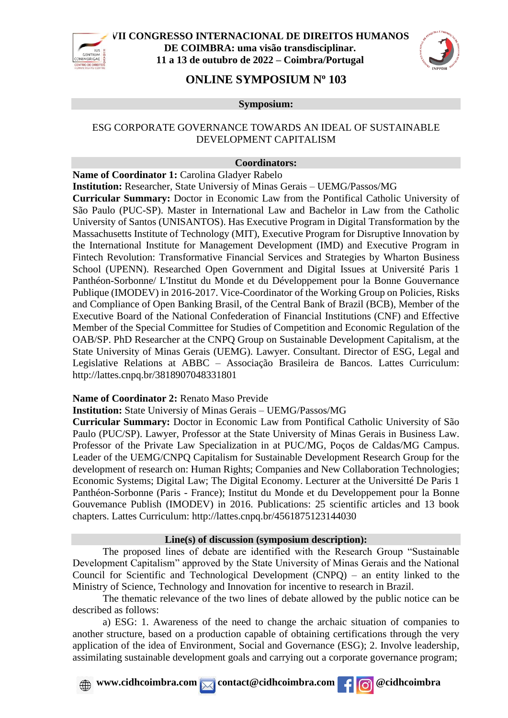



# **ONLINE SYMPOSIUM N<sup>o</sup> 103**

**Symposium:**

#### ESG CORPORATE GOVERNANCE TOWARDS AN IDEAL OF SUSTAINABLE DEVELOPMENT CAPITALISM

#### **Coordinators:**

**Name of Coordinator 1:** Carolina Gladyer Rabelo

**Institution:** Researcher, State Universiy of Minas Gerais – UEMG/Passos/MG

**Curricular Summary:** Doctor in Economic Law from the Pontifical Catholic University of São Paulo (PUC-SP). Master in International Law and Bachelor in Law from the Catholic University of Santos (UNISANTOS). Has Executive Program in Digital Transformation by the Massachusetts Institute of Technology (MIT), Executive Program for Disruptive Innovation by the International Institute for Management Development (IMD) and Executive Program in Fintech Revolution: Transformative Financial Services and Strategies by Wharton Business School (UPENN). Researched Open Government and Digital Issues at Université Paris 1 Panthéon-Sorbonne/ L'Institut du Monde et du Développement pour la Bonne Gouvernance Publique (IMODEV) in 2016-2017. Vice-Coordinator of the Working Group on Policies, Risks and Compliance of Open Banking Brasil, of the Central Bank of Brazil (BCB), Member of the Executive Board of the National Confederation of Financial Institutions (CNF) and Effective Member of the Special Committee for Studies of Competition and Economic Regulation of the OAB/SP. PhD Researcher at the CNPQ Group on Sustainable Development Capitalism, at the State University of Minas Gerais (UEMG). Lawyer. Consultant. Director of ESG, Legal and Legislative Relations at ABBC – Associação Brasileira de Bancos. Lattes Curriculum: <http://lattes.cnpq.br/3818907048331801>

#### **Name of Coordinator 2:** Renato Maso Previde

**Institution:** State Universiy of Minas Gerais – UEMG/Passos/MG

**Curricular Summary:** Doctor in Economic Law from Pontifical Catholic University of São Paulo (PUC/SP). Lawyer, Professor at the State University of Minas Gerais in Business Law. Professor of the Private Law Specialization in at PUC/MG, Poços de Caldas/MG Campus. Leader of the UEMG/CNPQ Capitalism for Sustainable Development Research Group for the development of research on: Human Rights; Companies and New Collaboration Technologies; Economic Systems; Digital Law; The Digital Economy. Lecturer at the Universitté De Paris 1 Panthéon-Sorbonne (Paris - France); Institut du Monde et du Developpement pour la Bonne Gouvemance Publish (IMODEV) in 2016. Publications: 25 scientific articles and 13 book chapters. Lattes Curriculum:<http://lattes.cnpq.br/4561875123144030>

#### **Line(s) of discussion (symposium description):**

The proposed lines of debate are identified with the Research Group "Sustainable Development Capitalism" approved by the State University of Minas Gerais and the National Council for Scientific and Technological Development (CNPQ) – an entity linked to the Ministry of Science, Technology and Innovation for incentive to research in Brazil.

The thematic relevance of the two lines of debate allowed by the public notice can be described as follows:

a) ESG: 1. Awareness of the need to change the archaic situation of companies to another structure, based on a production capable of obtaining certifications through the very application of the idea of Environment, Social and Governance (ESG); 2. Involve leadership, assimilating sustainable development goals and carrying out a corporate governance program;

**A** www.cidhcoimbra.com contact@cidhcoimbra.com **f c** ecidhcoimbra